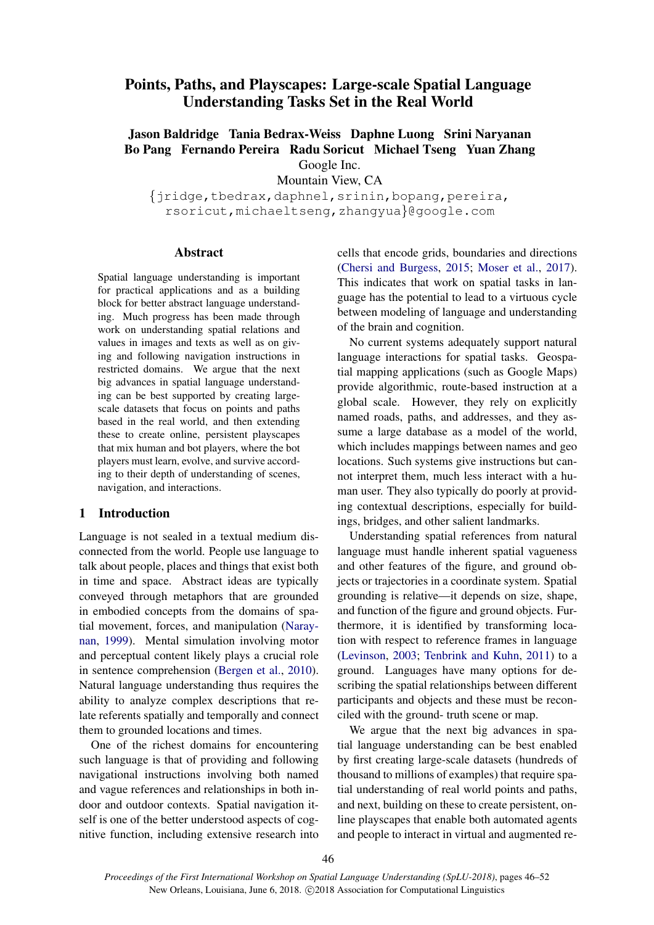# Points, Paths, and Playscapes: Large-scale Spatial Language Understanding Tasks Set in the Real World

## Jason Baldridge Tania Bedrax-Weiss Daphne Luong Srini Naryanan Bo Pang Fernando Pereira Radu Soricut Michael Tseng Yuan Zhang Google Inc.

Mountain View, CA

{jridge,tbedrax,daphnel,srinin,bopang,pereira, rsoricut,michaeltseng,zhangyua}@google.com

#### Abstract

Spatial language understanding is important for practical applications and as a building block for better abstract language understanding. Much progress has been made through work on understanding spatial relations and values in images and texts as well as on giving and following navigation instructions in restricted domains. We argue that the next big advances in spatial language understanding can be best supported by creating largescale datasets that focus on points and paths based in the real world, and then extending these to create online, persistent playscapes that mix human and bot players, where the bot players must learn, evolve, and survive according to their depth of understanding of scenes, navigation, and interactions.

## 1 Introduction

Language is not sealed in a textual medium disconnected from the world. People use language to talk about people, places and things that exist both in time and space. Abstract ideas are typically conveyed through metaphors that are grounded in embodied concepts from the domains of spatial movement, forces, and manipulation (Naraynan, 1999). Mental simulation involving motor and perceptual content likely plays a crucial role in sentence comprehension (Bergen et al., 2010). Natural language understanding thus requires the ability to analyze complex descriptions that relate referents spatially and temporally and connect them to grounded locations and times.

One of the richest domains for encountering such language is that of providing and following navigational instructions involving both named and vague references and relationships in both indoor and outdoor contexts. Spatial navigation itself is one of the better understood aspects of cognitive function, including extensive research into cells that encode grids, boundaries and directions (Chersi and Burgess, 2015; Moser et al., 2017). This indicates that work on spatial tasks in language has the potential to lead to a virtuous cycle between modeling of language and understanding of the brain and cognition.

No current systems adequately support natural language interactions for spatial tasks. Geospatial mapping applications (such as Google Maps) provide algorithmic, route-based instruction at a global scale. However, they rely on explicitly named roads, paths, and addresses, and they assume a large database as a model of the world, which includes mappings between names and geo locations. Such systems give instructions but cannot interpret them, much less interact with a human user. They also typically do poorly at providing contextual descriptions, especially for buildings, bridges, and other salient landmarks.

Understanding spatial references from natural language must handle inherent spatial vagueness and other features of the figure, and ground objects or trajectories in a coordinate system. Spatial grounding is relative—it depends on size, shape, and function of the figure and ground objects. Furthermore, it is identified by transforming location with respect to reference frames in language (Levinson, 2003; Tenbrink and Kuhn, 2011) to a ground. Languages have many options for describing the spatial relationships between different participants and objects and these must be reconciled with the ground- truth scene or map.

We argue that the next big advances in spatial language understanding can be best enabled by first creating large-scale datasets (hundreds of thousand to millions of examples) that require spatial understanding of real world points and paths, and next, building on these to create persistent, online playscapes that enable both automated agents and people to interact in virtual and augmented re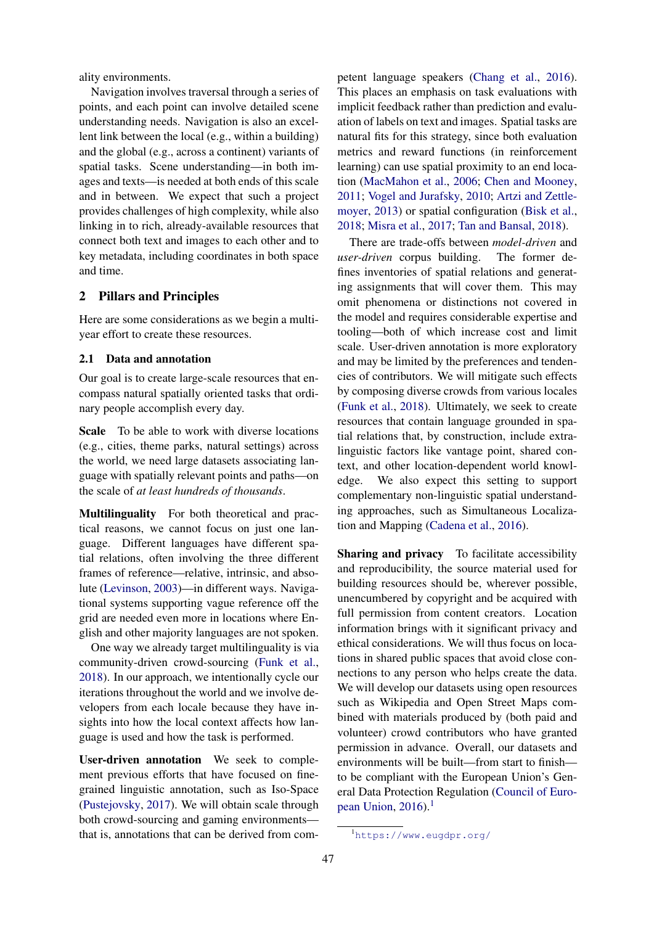ality environments.

Navigation involves traversal through a series of points, and each point can involve detailed scene understanding needs. Navigation is also an excellent link between the local (e.g., within a building) and the global (e.g., across a continent) variants of spatial tasks. Scene understanding—in both images and texts—is needed at both ends of this scale and in between. We expect that such a project provides challenges of high complexity, while also linking in to rich, already-available resources that connect both text and images to each other and to key metadata, including coordinates in both space and time.

## 2 Pillars and Principles

Here are some considerations as we begin a multiyear effort to create these resources.

#### 2.1 Data and annotation

Our goal is to create large-scale resources that encompass natural spatially oriented tasks that ordinary people accomplish every day.

Scale To be able to work with diverse locations (e.g., cities, theme parks, natural settings) across the world, we need large datasets associating language with spatially relevant points and paths—on the scale of *at least hundreds of thousands*.

Multilinguality For both theoretical and practical reasons, we cannot focus on just one language. Different languages have different spatial relations, often involving the three different frames of reference—relative, intrinsic, and absolute (Levinson, 2003)—in different ways. Navigational systems supporting vague reference off the grid are needed even more in locations where English and other majority languages are not spoken.

One way we already target multilinguality is via community-driven crowd-sourcing (Funk et al., 2018). In our approach, we intentionally cycle our iterations throughout the world and we involve developers from each locale because they have insights into how the local context affects how language is used and how the task is performed.

User-driven annotation We seek to complement previous efforts that have focused on finegrained linguistic annotation, such as Iso-Space (Pustejovsky, 2017). We will obtain scale through both crowd-sourcing and gaming environments that is, annotations that can be derived from competent language speakers (Chang et al., 2016). This places an emphasis on task evaluations with implicit feedback rather than prediction and evaluation of labels on text and images. Spatial tasks are natural fits for this strategy, since both evaluation metrics and reward functions (in reinforcement learning) can use spatial proximity to an end location (MacMahon et al., 2006; Chen and Mooney, 2011; Vogel and Jurafsky, 2010; Artzi and Zettlemoyer, 2013) or spatial configuration (Bisk et al., 2018; Misra et al., 2017; Tan and Bansal, 2018).

There are trade-offs between *model-driven* and *user-driven* corpus building. The former defines inventories of spatial relations and generating assignments that will cover them. This may omit phenomena or distinctions not covered in the model and requires considerable expertise and tooling—both of which increase cost and limit scale. User-driven annotation is more exploratory and may be limited by the preferences and tendencies of contributors. We will mitigate such effects by composing diverse crowds from various locales (Funk et al., 2018). Ultimately, we seek to create resources that contain language grounded in spatial relations that, by construction, include extralinguistic factors like vantage point, shared context, and other location-dependent world knowledge. We also expect this setting to support complementary non-linguistic spatial understanding approaches, such as Simultaneous Localization and Mapping (Cadena et al., 2016).

Sharing and privacy To facilitate accessibility and reproducibility, the source material used for building resources should be, wherever possible, unencumbered by copyright and be acquired with full permission from content creators. Location information brings with it significant privacy and ethical considerations. We will thus focus on locations in shared public spaces that avoid close connections to any person who helps create the data. We will develop our datasets using open resources such as Wikipedia and Open Street Maps combined with materials produced by (both paid and volunteer) crowd contributors who have granted permission in advance. Overall, our datasets and environments will be built—from start to finish to be compliant with the European Union's General Data Protection Regulation (Council of European Union,  $2016$ ).<sup>1</sup>

<sup>1</sup>https://www.eugdpr.org/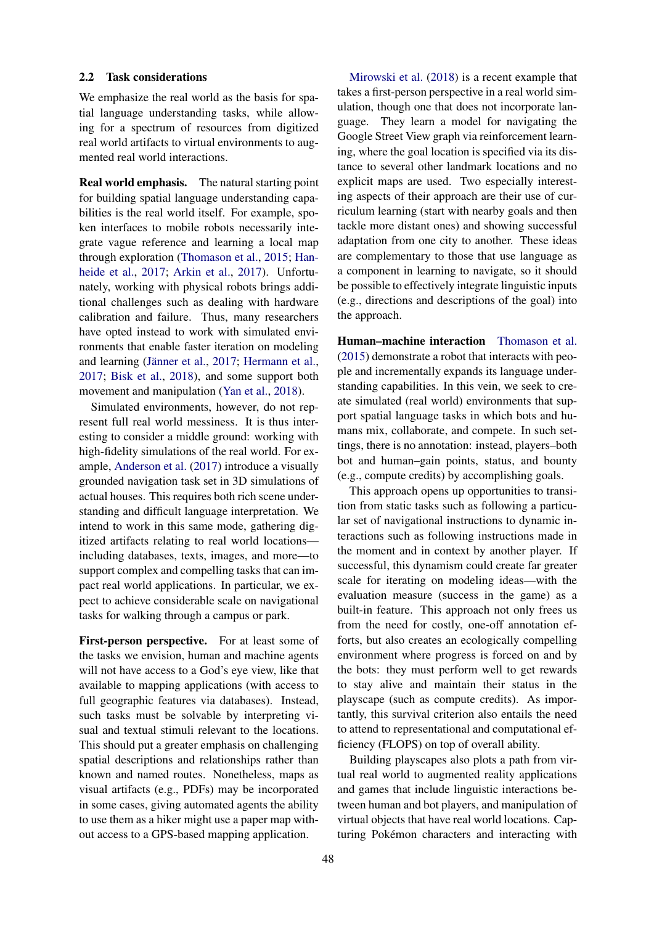#### 2.2 Task considerations

We emphasize the real world as the basis for spatial language understanding tasks, while allowing for a spectrum of resources from digitized real world artifacts to virtual environments to augmented real world interactions.

Real world emphasis. The natural starting point for building spatial language understanding capabilities is the real world itself. For example, spoken interfaces to mobile robots necessarily integrate vague reference and learning a local map through exploration (Thomason et al., 2015; Hanheide et al., 2017; Arkin et al., 2017). Unfortunately, working with physical robots brings additional challenges such as dealing with hardware calibration and failure. Thus, many researchers have opted instead to work with simulated environments that enable faster iteration on modeling and learning (Jänner et al., 2017; Hermann et al., 2017; Bisk et al., 2018), and some support both movement and manipulation (Yan et al., 2018).

Simulated environments, however, do not represent full real world messiness. It is thus interesting to consider a middle ground: working with high-fidelity simulations of the real world. For example, Anderson et al. (2017) introduce a visually grounded navigation task set in 3D simulations of actual houses. This requires both rich scene understanding and difficult language interpretation. We intend to work in this same mode, gathering digitized artifacts relating to real world locations including databases, texts, images, and more—to support complex and compelling tasks that can impact real world applications. In particular, we expect to achieve considerable scale on navigational tasks for walking through a campus or park.

First-person perspective. For at least some of the tasks we envision, human and machine agents will not have access to a God's eye view, like that available to mapping applications (with access to full geographic features via databases). Instead, such tasks must be solvable by interpreting visual and textual stimuli relevant to the locations. This should put a greater emphasis on challenging spatial descriptions and relationships rather than known and named routes. Nonetheless, maps as visual artifacts (e.g., PDFs) may be incorporated in some cases, giving automated agents the ability to use them as a hiker might use a paper map without access to a GPS-based mapping application.

Mirowski et al. (2018) is a recent example that takes a first-person perspective in a real world simulation, though one that does not incorporate language. They learn a model for navigating the Google Street View graph via reinforcement learning, where the goal location is specified via its distance to several other landmark locations and no explicit maps are used. Two especially interesting aspects of their approach are their use of curriculum learning (start with nearby goals and then tackle more distant ones) and showing successful adaptation from one city to another. These ideas are complementary to those that use language as a component in learning to navigate, so it should be possible to effectively integrate linguistic inputs (e.g., directions and descriptions of the goal) into the approach.

Human–machine interaction Thomason et al. (2015) demonstrate a robot that interacts with people and incrementally expands its language understanding capabilities. In this vein, we seek to create simulated (real world) environments that support spatial language tasks in which bots and humans mix, collaborate, and compete. In such settings, there is no annotation: instead, players–both bot and human–gain points, status, and bounty (e.g., compute credits) by accomplishing goals.

This approach opens up opportunities to transition from static tasks such as following a particular set of navigational instructions to dynamic interactions such as following instructions made in the moment and in context by another player. If successful, this dynamism could create far greater scale for iterating on modeling ideas—with the evaluation measure (success in the game) as a built-in feature. This approach not only frees us from the need for costly, one-off annotation efforts, but also creates an ecologically compelling environment where progress is forced on and by the bots: they must perform well to get rewards to stay alive and maintain their status in the playscape (such as compute credits). As importantly, this survival criterion also entails the need to attend to representational and computational efficiency (FLOPS) on top of overall ability.

Building playscapes also plots a path from virtual real world to augmented reality applications and games that include linguistic interactions between human and bot players, and manipulation of virtual objects that have real world locations. Capturing Pokémon characters and interacting with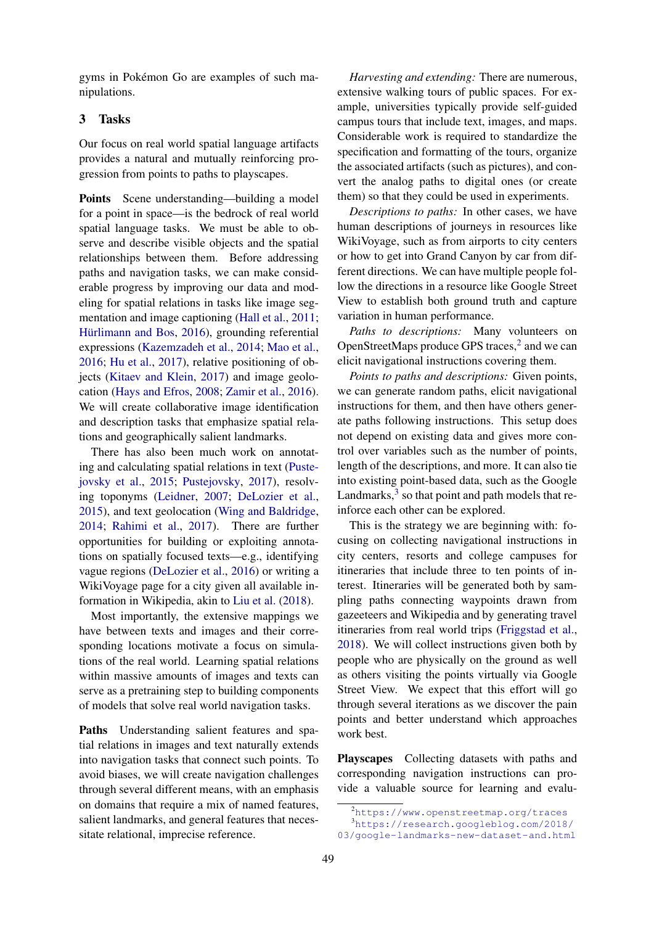gyms in Pokémon Go are examples of such manipulations.

## 3 Tasks

Our focus on real world spatial language artifacts provides a natural and mutually reinforcing progression from points to paths to playscapes.

Points Scene understanding—building a model for a point in space—is the bedrock of real world spatial language tasks. We must be able to observe and describe visible objects and the spatial relationships between them. Before addressing paths and navigation tasks, we can make considerable progress by improving our data and modeling for spatial relations in tasks like image segmentation and image captioning (Hall et al., 2011; Hürlimann and Bos, 2016), grounding referential expressions (Kazemzadeh et al., 2014; Mao et al., 2016; Hu et al., 2017), relative positioning of objects (Kitaev and Klein, 2017) and image geolocation (Hays and Efros, 2008; Zamir et al., 2016). We will create collaborative image identification and description tasks that emphasize spatial relations and geographically salient landmarks.

There has also been much work on annotating and calculating spatial relations in text (Pustejovsky et al., 2015; Pustejovsky, 2017), resolving toponyms (Leidner, 2007; DeLozier et al., 2015), and text geolocation (Wing and Baldridge, 2014; Rahimi et al., 2017). There are further opportunities for building or exploiting annotations on spatially focused texts—e.g., identifying vague regions (DeLozier et al., 2016) or writing a WikiVoyage page for a city given all available information in Wikipedia, akin to Liu et al. (2018).

Most importantly, the extensive mappings we have between texts and images and their corresponding locations motivate a focus on simulations of the real world. Learning spatial relations within massive amounts of images and texts can serve as a pretraining step to building components of models that solve real world navigation tasks.

Paths Understanding salient features and spatial relations in images and text naturally extends into navigation tasks that connect such points. To avoid biases, we will create navigation challenges through several different means, with an emphasis on domains that require a mix of named features, salient landmarks, and general features that necessitate relational, imprecise reference.

*Harvesting and extending:* There are numerous, extensive walking tours of public spaces. For example, universities typically provide self-guided campus tours that include text, images, and maps. Considerable work is required to standardize the specification and formatting of the tours, organize the associated artifacts (such as pictures), and convert the analog paths to digital ones (or create them) so that they could be used in experiments.

*Descriptions to paths:* In other cases, we have human descriptions of journeys in resources like WikiVoyage, such as from airports to city centers or how to get into Grand Canyon by car from different directions. We can have multiple people follow the directions in a resource like Google Street View to establish both ground truth and capture variation in human performance.

*Paths to descriptions:* Many volunteers on OpenStreetMaps produce GPS traces,<sup>2</sup> and we can elicit navigational instructions covering them.

*Points to paths and descriptions:* Given points, we can generate random paths, elicit navigational instructions for them, and then have others generate paths following instructions. This setup does not depend on existing data and gives more control over variables such as the number of points, length of the descriptions, and more. It can also tie into existing point-based data, such as the Google Landmarks, $3$  so that point and path models that reinforce each other can be explored.

This is the strategy we are beginning with: focusing on collecting navigational instructions in city centers, resorts and college campuses for itineraries that include three to ten points of interest. Itineraries will be generated both by sampling paths connecting waypoints drawn from gazeeteers and Wikipedia and by generating travel itineraries from real world trips (Friggstad et al., 2018). We will collect instructions given both by people who are physically on the ground as well as others visiting the points virtually via Google Street View. We expect that this effort will go through several iterations as we discover the pain points and better understand which approaches work best.

Playscapes Collecting datasets with paths and corresponding navigation instructions can provide a valuable source for learning and evalu-

<sup>2</sup>https://www.openstreetmap.org/traces

<sup>3</sup>https://research.googleblog.com/2018/ 03/google-landmarks-new-dataset-and.html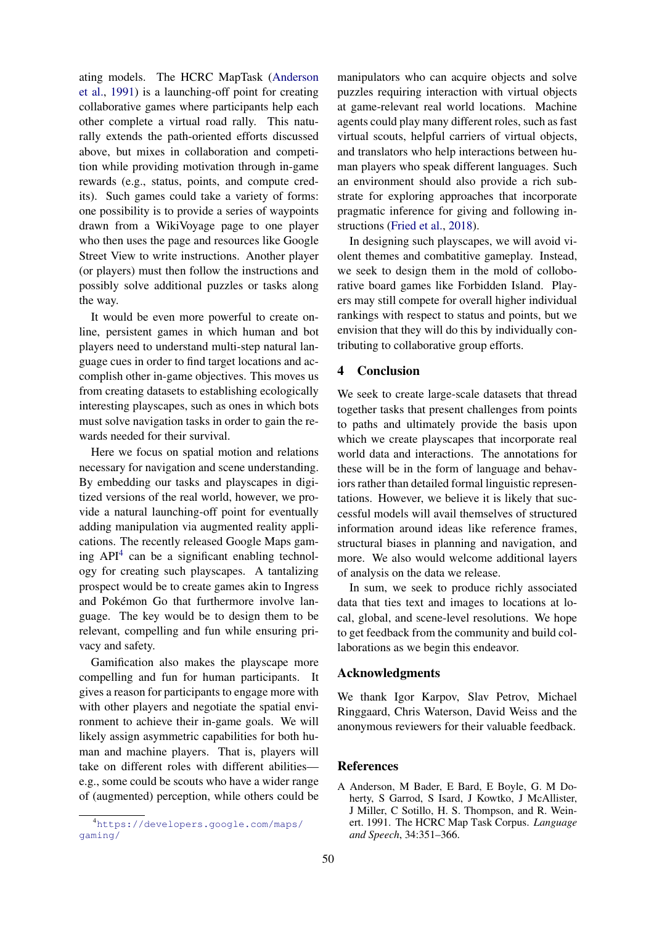ating models. The HCRC MapTask (Anderson et al., 1991) is a launching-off point for creating collaborative games where participants help each other complete a virtual road rally. This naturally extends the path-oriented efforts discussed above, but mixes in collaboration and competition while providing motivation through in-game rewards (e.g., status, points, and compute credits). Such games could take a variety of forms: one possibility is to provide a series of waypoints drawn from a WikiVoyage page to one player who then uses the page and resources like Google Street View to write instructions. Another player (or players) must then follow the instructions and possibly solve additional puzzles or tasks along the way.

It would be even more powerful to create online, persistent games in which human and bot players need to understand multi-step natural language cues in order to find target locations and accomplish other in-game objectives. This moves us from creating datasets to establishing ecologically interesting playscapes, such as ones in which bots must solve navigation tasks in order to gain the rewards needed for their survival.

Here we focus on spatial motion and relations necessary for navigation and scene understanding. By embedding our tasks and playscapes in digitized versions of the real world, however, we provide a natural launching-off point for eventually adding manipulation via augmented reality applications. The recently released Google Maps gaming  $API<sup>4</sup>$  can be a significant enabling technology for creating such playscapes. A tantalizing prospect would be to create games akin to Ingress and Pokémon Go that furthermore involve language. The key would be to design them to be relevant, compelling and fun while ensuring privacy and safety.

Gamification also makes the playscape more compelling and fun for human participants. It gives a reason for participants to engage more with with other players and negotiate the spatial environment to achieve their in-game goals. We will likely assign asymmetric capabilities for both human and machine players. That is, players will take on different roles with different abilities e.g., some could be scouts who have a wider range of (augmented) perception, while others could be

manipulators who can acquire objects and solve puzzles requiring interaction with virtual objects at game-relevant real world locations. Machine agents could play many different roles, such as fast virtual scouts, helpful carriers of virtual objects, and translators who help interactions between human players who speak different languages. Such an environment should also provide a rich substrate for exploring approaches that incorporate pragmatic inference for giving and following instructions (Fried et al., 2018).

In designing such playscapes, we will avoid violent themes and combatitive gameplay. Instead, we seek to design them in the mold of colloborative board games like Forbidden Island. Players may still compete for overall higher individual rankings with respect to status and points, but we envision that they will do this by individually contributing to collaborative group efforts.

## 4 Conclusion

We seek to create large-scale datasets that thread together tasks that present challenges from points to paths and ultimately provide the basis upon which we create playscapes that incorporate real world data and interactions. The annotations for these will be in the form of language and behaviors rather than detailed formal linguistic representations. However, we believe it is likely that successful models will avail themselves of structured information around ideas like reference frames, structural biases in planning and navigation, and more. We also would welcome additional layers of analysis on the data we release.

In sum, we seek to produce richly associated data that ties text and images to locations at local, global, and scene-level resolutions. We hope to get feedback from the community and build collaborations as we begin this endeavor.

#### Acknowledgments

We thank Igor Karpov, Slav Petrov, Michael Ringgaard, Chris Waterson, David Weiss and the anonymous reviewers for their valuable feedback.

#### References

<sup>4</sup>https://developers.google.com/maps/ gaming/

A Anderson, M Bader, E Bard, E Boyle, G. M Doherty, S Garrod, S Isard, J Kowtko, J McAllister, J Miller, C Sotillo, H. S. Thompson, and R. Weinert. 1991. The HCRC Map Task Corpus. *Language and Speech*, 34:351–366.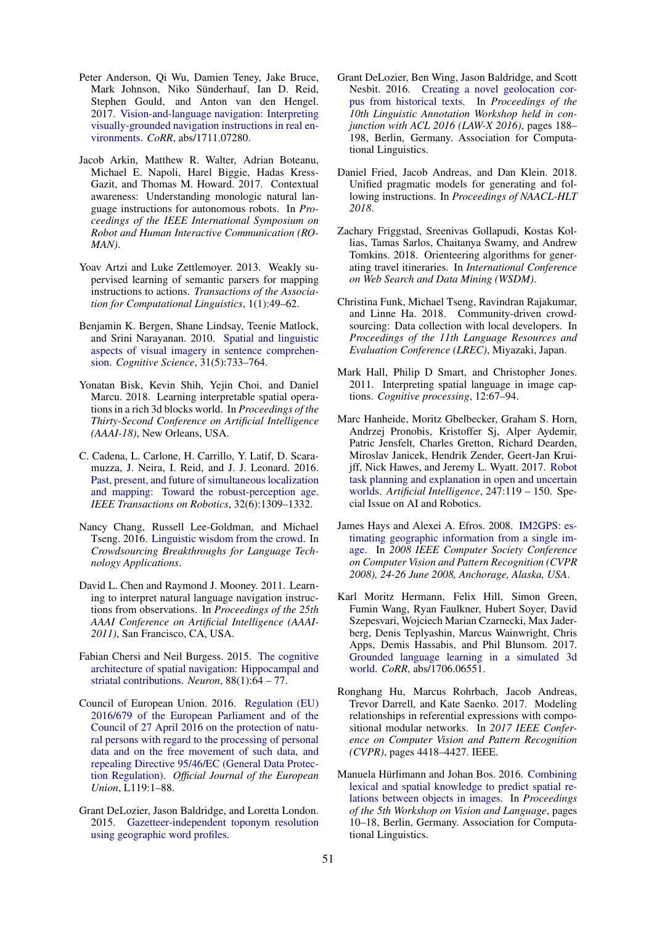- Peter Anderson, Qi Wu, Damien Teney, Jake Bruce, Mark Johnson, Niko Sünderhauf, Ian D. Reid, Stephen Gould, and Anton van den Hengel. 2017. Vision-and-language navigation: Interpreting visually-grounded navigation instructions in real environments. *CoRR*, abs/1711.07280.
- Jacob Arkin, Matthew R. Walter, Adrian Boteanu, Michael E. Napoli, Harel Biggie, Hadas Kress-Gazit, and Thomas M. Howard. 2017. Contextual awareness: Understanding monologic natural language instructions for autonomous robots. In *Proceedings of the IEEE International Symposium on Robot and Human Interactive Communication (RO-MAN)*.
- Yoav Artzi and Luke Zettlemoyer. 2013. Weakly supervised learning of semantic parsers for mapping instructions to actions. *Transactions of the Association for Computational Linguistics*, 1(1):49–62.
- Benjamin K. Bergen, Shane Lindsay, Teenie Matlock, and Srini Narayanan. 2010. Spatial and linguistic aspects of visual imagery in sentence comprehension. *Cognitive Science*, 31(5):733–764.
- Yonatan Bisk, Kevin Shih, Yejin Choi, and Daniel Marcu. 2018. Learning interpretable spatial operations in a rich 3d blocks world. In *Proceedings of the Thirty-Second Conference on Artificial Intelligence (AAAI-18)*, New Orleans, USA.
- C. Cadena, L. Carlone, H. Carrillo, Y. Latif, D. Scaramuzza, J. Neira, I. Reid, and J. J. Leonard. 2016. Past, present, and future of simultaneous localization and mapping: Toward the robust-perception age. *IEEE Transactions on Robotics*, 32(6):1309–1332.
- Nancy Chang, Russell Lee-Goldman, and Michael Tseng. 2016. Linguistic wisdom from the crowd. In *Crowdsourcing Breakthroughs for Language Technology Applications*.
- David L. Chen and Raymond J. Mooney. 2011. Learning to interpret natural language navigation instructions from observations. In *Proceedings of the 25th AAAI Conference on Artificial Intelligence (AAAI-2011)*, San Francisco, CA, USA.
- Fabian Chersi and Neil Burgess. 2015. The cognitive architecture of spatial navigation: Hippocampal and striatal contributions. *Neuron*, 88(1):64 – 77.
- Council of European Union. 2016. Regulation (EU) 2016/679 of the European Parliament and of the Council of 27 April 2016 on the protection of natural persons with regard to the processing of personal data and on the free movement of such data, and repealing Directive 95/46/EC (General Data Protection Regulation). *Official Journal of the European Union*, L119:1–88.
- Grant DeLozier, Jason Baldridge, and Loretta London. 2015. Gazetteer-independent toponym resolution using geographic word profiles.
- Grant DeLozier, Ben Wing, Jason Baldridge, and Scott Nesbit. 2016. Creating a novel geolocation corpus from historical texts. In *Proceedings of the 10th Linguistic Annotation Workshop held in conjunction with ACL 2016 (LAW-X 2016)*, pages 188– 198, Berlin, Germany. Association for Computational Linguistics.
- Daniel Fried, Jacob Andreas, and Dan Klein. 2018. Unified pragmatic models for generating and following instructions. In *Proceedings of NAACL-HLT 2018*.
- Zachary Friggstad, Sreenivas Gollapudi, Kostas Kollias, Tamas Sarlos, Chaitanya Swamy, and Andrew Tomkins. 2018. Orienteering algorithms for generating travel itineraries. In *International Conference on Web Search and Data Mining (WSDM)*.
- Christina Funk, Michael Tseng, Ravindran Rajakumar, and Linne Ha. 2018. Community-driven crowdsourcing: Data collection with local developers. In *Proceedings of the 11th Language Resources and Evaluation Conference (LREC)*, Miyazaki, Japan.
- Mark Hall, Philip D Smart, and Christopher Jones. 2011. Interpreting spatial language in image captions. *Cognitive processing*, 12:67–94.
- Marc Hanheide, Moritz Gbelbecker, Graham S. Horn, Andrzej Pronobis, Kristoffer Sj, Alper Aydemir, Patric Jensfelt, Charles Gretton, Richard Dearden, Miroslav Janicek, Hendrik Zender, Geert-Jan Kruijff, Nick Hawes, and Jeremy L. Wyatt. 2017. Robot task planning and explanation in open and uncertain worlds. *Artificial Intelligence*, 247:119 – 150. Special Issue on AI and Robotics.
- James Hays and Alexei A. Efros. 2008. IM2GPS: estimating geographic information from a single image. In *2008 IEEE Computer Society Conference on Computer Vision and Pattern Recognition (CVPR 2008), 24-26 June 2008, Anchorage, Alaska, USA*.
- Karl Moritz Hermann, Felix Hill, Simon Green, Fumin Wang, Ryan Faulkner, Hubert Soyer, David Szepesvari, Wojciech Marian Czarnecki, Max Jaderberg, Denis Teplyashin, Marcus Wainwright, Chris Apps, Demis Hassabis, and Phil Blunsom. 2017. Grounded language learning in a simulated 3d world. *CoRR*, abs/1706.06551.
- Ronghang Hu, Marcus Rohrbach, Jacob Andreas, Trevor Darrell, and Kate Saenko. 2017. Modeling relationships in referential expressions with compositional modular networks. In *2017 IEEE Conference on Computer Vision and Pattern Recognition (CVPR)*, pages 4418–4427. IEEE.
- Manuela Hürlimann and Johan Bos. 2016. Combining lexical and spatial knowledge to predict spatial relations between objects in images. In *Proceedings of the 5th Workshop on Vision and Language*, pages 10–18, Berlin, Germany. Association for Computational Linguistics.